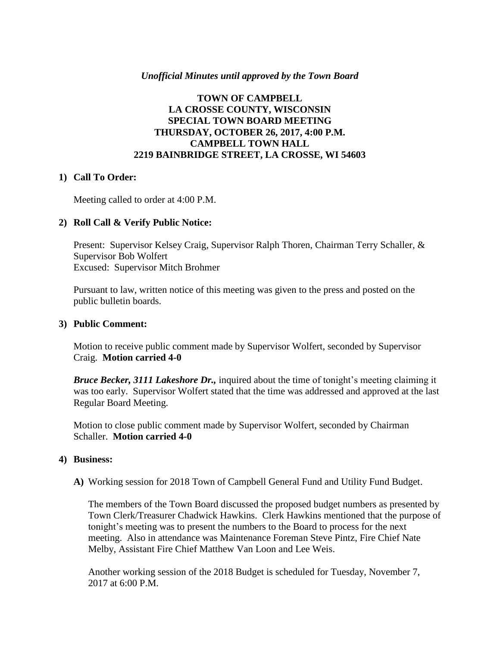## *Unofficial Minutes until approved by the Town Board*

## **TOWN OF CAMPBELL LA CROSSE COUNTY, WISCONSIN SPECIAL TOWN BOARD MEETING THURSDAY, OCTOBER 26, 2017, 4:00 P.M. CAMPBELL TOWN HALL 2219 BAINBRIDGE STREET, LA CROSSE, WI 54603**

## **1) Call To Order:**

Meeting called to order at 4:00 P.M.

## **2) Roll Call & Verify Public Notice:**

Present: Supervisor Kelsey Craig, Supervisor Ralph Thoren, Chairman Terry Schaller, & Supervisor Bob Wolfert Excused: Supervisor Mitch Brohmer

Pursuant to law, written notice of this meeting was given to the press and posted on the public bulletin boards.

#### **3) Public Comment:**

Motion to receive public comment made by Supervisor Wolfert, seconded by Supervisor Craig. **Motion carried 4-0**

*Bruce Becker, 3111 Lakeshore Dr.,* inquired about the time of tonight's meeting claiming it was too early. Supervisor Wolfert stated that the time was addressed and approved at the last Regular Board Meeting.

Motion to close public comment made by Supervisor Wolfert, seconded by Chairman Schaller. **Motion carried 4-0**

#### **4) Business:**

**A)** Working session for 2018 Town of Campbell General Fund and Utility Fund Budget.

The members of the Town Board discussed the proposed budget numbers as presented by Town Clerk/Treasurer Chadwick Hawkins. Clerk Hawkins mentioned that the purpose of tonight's meeting was to present the numbers to the Board to process for the next meeting. Also in attendance was Maintenance Foreman Steve Pintz, Fire Chief Nate Melby, Assistant Fire Chief Matthew Van Loon and Lee Weis.

Another working session of the 2018 Budget is scheduled for Tuesday, November 7, 2017 at 6:00 P.M.